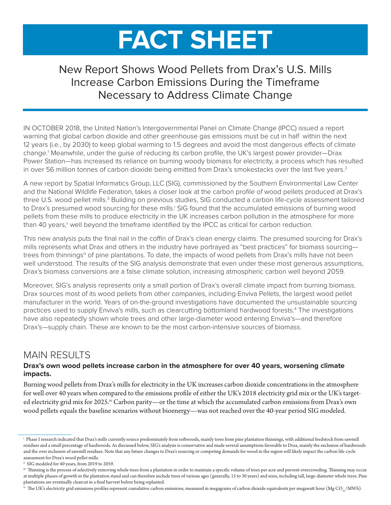# **FACT SHEET**

# New Report Shows Wood Pellets from Drax's U.S. Mills Increase Carbon Emissions During the Timeframe Necessary to Address Climate Change

IN OCTOBER 2018, the United Nation's Intergovernmental Panel on Climate Change (IPCC) issued a report warning that global carbon dioxide and other greenhouse gas emissions must be cut in half within the next 12 years (i.e., by 2030) to keep global warming to 1.5 degrees and avoid the most dangerous effects of climate change.1 Meanwhile, under the guise of reducing its carbon profile, the UK's largest power provider—Drax Power Station—has increased its reliance on burning woody biomass for electricity, a process which has resulted in over 56 million tonnes of carbon dioxide being emitted from Drax's smokestacks over the last five years.<sup>2</sup>

A new report by Spatial Informatics Group, LLC (SIG), commissioned by the Southern Environmental Law Center and the National Wildlife Federation, takes a closer look at the carbon profile of wood pellets produced at Drax's three U.S. wood pellet mills.<sup>3</sup> Building on previous studies, SIG conducted a carbon life-cycle assessment tailored to Drax's presumed wood sourcing for these mills.<sup>i</sup> SIG found that the accumulated emissions of burning wood pellets from these mills to produce electricity in the UK increases carbon pollution in the atmosphere for more than 40 years,<sup>"</sup> well beyond the timeframe identified by the IPCC as critical for carbon reduction.

This new analysis puts the final nail in the coffin of Drax's clean energy claims. The presumed sourcing for Drax's mills represents what Drax and others in the industry have portrayed as "best practices" for biomass sourcing trees from thinnings<sup>iii</sup> of pine plantations. To date, the impacts of wood pellets from Drax's mills have not been well understood. The results of the SIG analysis demonstrate that even under these most generous assumptions, Drax's biomass conversions are a false climate solution, increasing atmospheric carbon well beyond 2059.

Moreover, SIG's analysis represents only a small portion of Drax's overall climate impact from burning biomass. Drax sources most of its wood pellets from other companies, including Enviva Pellets, the largest wood pellet manufacturer in the world. Years of on-the-ground investigations have documented the unsustainable sourcing practices used to supply Enviva's mills, such as clearcutting bottomland hardwood forests.<sup>4</sup> The investigations have also repeatedly shown whole trees and other large-diameter wood entering Enviva's—and therefore Drax's—supply chain. These are known to be the most carbon-intensive sources of biomass.

## MAIN RESULTS

## **Drax's own wood pellets increase carbon in the atmosphere for over 40 years, worsening climate impacts.**

Burning wood pellets from Drax's mills for electricity in the UK increases carbon dioxide concentrations in the atmosphere for well over 40 years when compared to the emissions profile of either the UK's 2018 electricity grid mix or the UK's targeted electricity grid mix for 2025.<sup>iv</sup> Carbon parity—or the time at which the accumulated carbon emissions from Drax's own wood pellets equals the baseline scenarios without bioenergy—was not reached over the 40-year period SIG modeled.

 $^\mathrm{ir}$  The UK's electricity grid emissions profiles represent cumulative carbon emissions, measured in megagrams of carbon dioxide equivalents per megawatt hour (Mg CO<sub>2e</sub>/MWh).

i Phase I research indicated that Drax's mills currently source predominately from softwoods, mainly trees from pine plantation thinnings, with additional feedstock from sawmill residues and a small percentage of hardwoods. As discussed below, SIG's analysis is conservative and made several assumptions favorable to Drax, mainly the exclusion of hardwoods and the over inclusion of sawmill residues. Note that any future changes to Drax's sourcing or competing demands for wood in the region will likely impact the carbon life-cycle assessment for Drax's wood pellet mills.

ii SIG modeled for 40 years, from 2019 to 2059.

iii Thinning is the process of selectively removing whole trees from a plantation in order to maintain a specific volume of trees per acre and prevent overcrowding. Thinning may occur at multiple phases of growth in the plantation stand and can therefore include trees of various ages (generally, 15 to 30 years) and sizes, including tall, large-diameter whole trees. Pine plantations are eventually clearcut in a final harvest before being replanted.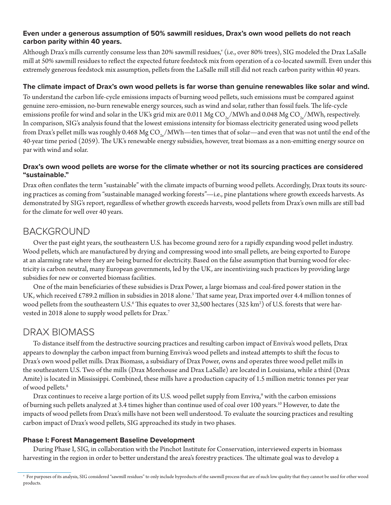## **Even under a generous assumption of 50% sawmill residues, Drax's own wood pellets do not reach carbon parity within 40 years.**

Although Drax's mills currently consume less than 20% sawmill residues," (i.e., over 80% trees), SIG modeled the Drax LaSalle mill at 50% sawmill residues to reflect the expected future feedstock mix from operation of a co-located sawmill. Even under this extremely generous feedstock mix assumption, pellets from the LaSalle mill still did not reach carbon parity within 40 years.

## **The climate impact of Drax's own wood pellets is far worse than genuine renewables like solar and wind.**

To understand the carbon life-cycle emissions impacts of burning wood pellets, such emissions must be compared against genuine zero-emission, no-burn renewable energy sources, such as wind and solar, rather than fossil fuels. The life-cycle emissions profile for wind and solar in the UK's grid mix are 0.011 Mg CO<sub>2</sub>/MWh and 0.048 Mg CO<sub>2</sub>/MWh, respectively. In comparison, SIG's analysis found that the lowest emissions intensity for biomass electricity generated using wood pellets from Drax's pellet mills was roughly 0.468 Mg  $CO<sub>2a</sub>/MWh$ —ten times that of solar—and even that was not until the end of the 40-year time period (2059). The UK's renewable energy subsidies, however, treat biomass as a non-emitting energy source on par with wind and solar.

## **Drax's own wood pellets are worse for the climate whether or not its sourcing practices are considered "sustainable."**

Drax often conflates the term "sustainable" with the climate impacts of burning wood pellets. Accordingly, Drax touts its sourcing practices as coming from "sustainable managed working forests"—i.e., pine plantations where growth exceeds harvests. As demonstrated by SIG's report, regardless of whether growth exceeds harvests, wood pellets from Drax's own mills are still bad for the climate for well over 40 years.

## BACKGROUND

Over the past eight years, the southeastern U.S. has become ground zero for a rapidly expanding wood pellet industry. Wood pellets, which are manufactured by drying and compressing wood into small pellets, are being exported to Europe at an alarming rate where they are being burned for electricity. Based on the false assumption that burning wood for electricity is carbon neutral, many European governments, led by the UK, are incentivizing such practices by providing large subsidies for new or converted biomass facilities.

One of the main beneficiaries of these subsidies is Drax Power, a large biomass and coal-fired power station in the UK, which received £789.2 million in subsidies in 2018 alone.<sup>5</sup> That same year, Drax imported over 4.4 million tonnes of wood pellets from the southeastern U.S. $^6$  This equates to over 32,500 hectares (325 km $^2)$  of U.S. forests that were harvested in 2018 alone to supply wood pellets for Drax.7

## DRAX BIOMASS

To distance itself from the destructive sourcing practices and resulting carbon impact of Enviva's wood pellets, Drax appears to downplay the carbon impact from burning Enviva's wood pellets and instead attempts to shift the focus to Drax's own wood pellet mills. Drax Biomass, a subsidiary of Drax Power, owns and operates three wood pellet mills in the southeastern U.S. Two of the mills (Drax Morehouse and Drax LaSalle) are located in Louisiana, while a third (Drax Amite) is located in Mississippi. Combined, these mills have a production capacity of 1.5 million metric tonnes per year of wood pellets.<sup>8</sup>

Drax continues to receive a large portion of its U.S. wood pellet supply from Enviva,<sup>9</sup> with the carbon emissions of burning such pellets analyzed at 3.4 times higher than continue used of coal over 100 years.10 However, to date the impacts of wood pellets from Drax's mills have not been well understood. To evaluate the sourcing practices and resulting carbon impact of Drax's wood pellets, SIG approached its study in two phases.

#### **Phase I: Forest Management Baseline Development**

During Phase I, SIG, in collaboration with the Pinchot Institute for Conservation, interviewed experts in biomass harvesting in the region in order to better understand the area's forestry practices. The ultimate goal was to develop a

v For purposes of its analysis, SIG considered "sawmill residues" to only include byproducts of the sawmill process that are of such low quality that they cannot be used for other wood products.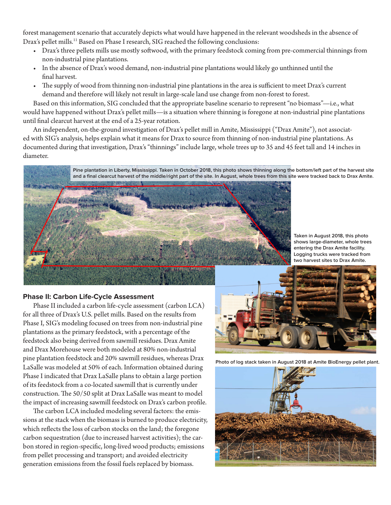forest management scenario that accurately depicts what would have happened in the relevant woodsheds in the absence of Drax's pellet mills.<sup>11</sup> Based on Phase I research, SIG reached the following conclusions:

- Drax's three pellets mills use mostly softwood, with the primary feedstock coming from pre-commercial thinnings from non-industrial pine plantations.
- In the absence of Drax's wood demand, non-industrial pine plantations would likely go unthinned until the final harvest.
- The supply of wood from thinning non-industrial pine plantations in the area is sufficient to meet Drax's current demand and therefore will likely not result in large-scale land use change from non-forest to forest.

Based on this information, SIG concluded that the appropriate baseline scenario to represent "no biomass"—i.e., what would have happened without Drax's pellet mills—is a situation where thinning is foregone at non-industrial pine plantations until final clearcut harvest at the end of a 25-year rotation.

An independent, on-the-ground investigation of Drax's pellet mill in Amite, Mississippi ("Drax Amite"), not associated with SIG's analysis, helps explain what it means for Drax to source from thinning of non-industrial pine plantations. As documented during that investigation, Drax's "thinnings" include large, whole trees up to 35 and 45 feet tall and 14 inches in diameter.

> **Pine plantation in Liberty, Mississippi. Taken in October 2018, this photo shows thinning along the bottom/left part of the harvest site and a final clearcut harvest of the middle/right part of the site. In August, whole trees from this site were tracked back to Drax Amite.**



**Taken in August 2018, this photo shows large-diameter, whole trees entering the Drax Amite facility. Logging trucks were tracked from two harvest sites to Drax Amite.**

#### **Phase II: Carbon Life-Cycle Assessment**

Phase II included a carbon life-cycle assessment (carbon LCA) for all three of Drax's U.S. pellet mills. Based on the results from Phase I, SIG's modeling focused on trees from non-industrial pine plantations as the primary feedstock, with a percentage of the feedstock also being derived from sawmill residues. Drax Amite and Drax Morehouse were both modeled at 80% non-industrial pine plantation feedstock and 20% sawmill residues, whereas Drax LaSalle was modeled at 50% of each. Information obtained during Phase I indicated that Drax LaSalle plans to obtain a large portion of its feedstock from a co-located sawmill that is currently under construction. The 50/50 split at Drax LaSalle was meant to model the impact of increasing sawmill feedstock on Drax's carbon profile.

The carbon LCA included modeling several factors: the emissions at the stack when the biomass is burned to produce electricity, which reflects the loss of carbon stocks on the land; the foregone carbon sequestration (due to increased harvest activities); the carbon stored in region-specific, long-lived wood products; emissions from pellet processing and transport; and avoided electricity generation emissions from the fossil fuels replaced by biomass.



**Photo of log stack taken in August 2018 at Amite BioEnergy pellet plant.**